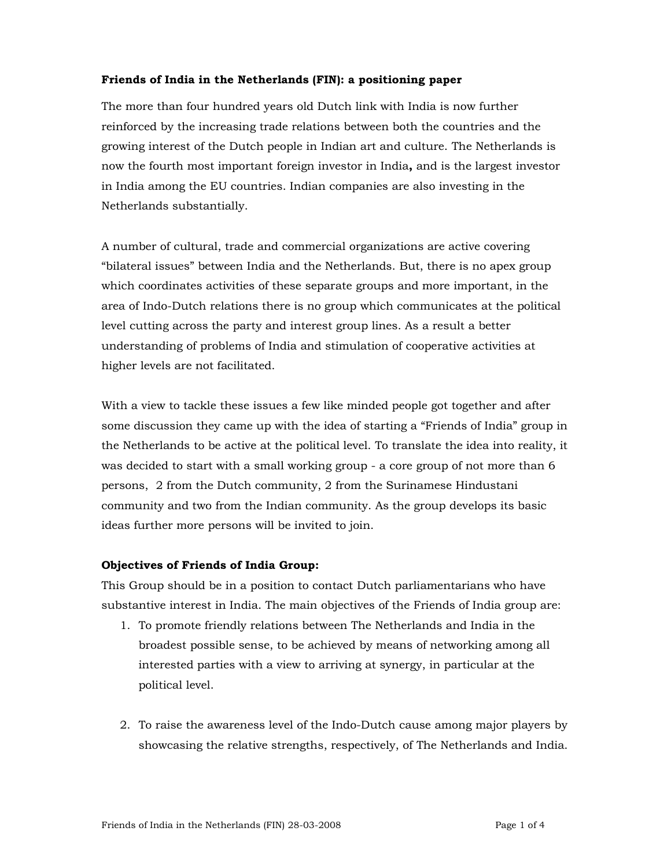## Friends of India in the Netherlands (FIN): a positioning paper

The more than four hundred years old Dutch link with India is now further reinforced by the increasing trade relations between both the countries and the growing interest of the Dutch people in Indian art and culture. The Netherlands is now the fourth most important foreign investor in India, and is the largest investor in India among the EU countries. Indian companies are also investing in the Netherlands substantially.

A number of cultural, trade and commercial organizations are active covering "bilateral issues" between India and the Netherlands. But, there is no apex group which coordinates activities of these separate groups and more important, in the area of Indo-Dutch relations there is no group which communicates at the political level cutting across the party and interest group lines. As a result a better understanding of problems of India and stimulation of cooperative activities at higher levels are not facilitated.

With a view to tackle these issues a few like minded people got together and after some discussion they came up with the idea of starting a "Friends of India" group in the Netherlands to be active at the political level. To translate the idea into reality, it was decided to start with a small working group - a core group of not more than 6 persons, 2 from the Dutch community, 2 from the Surinamese Hindustani community and two from the Indian community. As the group develops its basic ideas further more persons will be invited to join.

## Objectives of Friends of India Group:

This Group should be in a position to contact Dutch parliamentarians who have substantive interest in India. The main objectives of the Friends of India group are:

- 1. To promote friendly relations between The Netherlands and India in the broadest possible sense, to be achieved by means of networking among all interested parties with a view to arriving at synergy, in particular at the political level.
- 2. To raise the awareness level of the Indo-Dutch cause among major players by showcasing the relative strengths, respectively, of The Netherlands and India.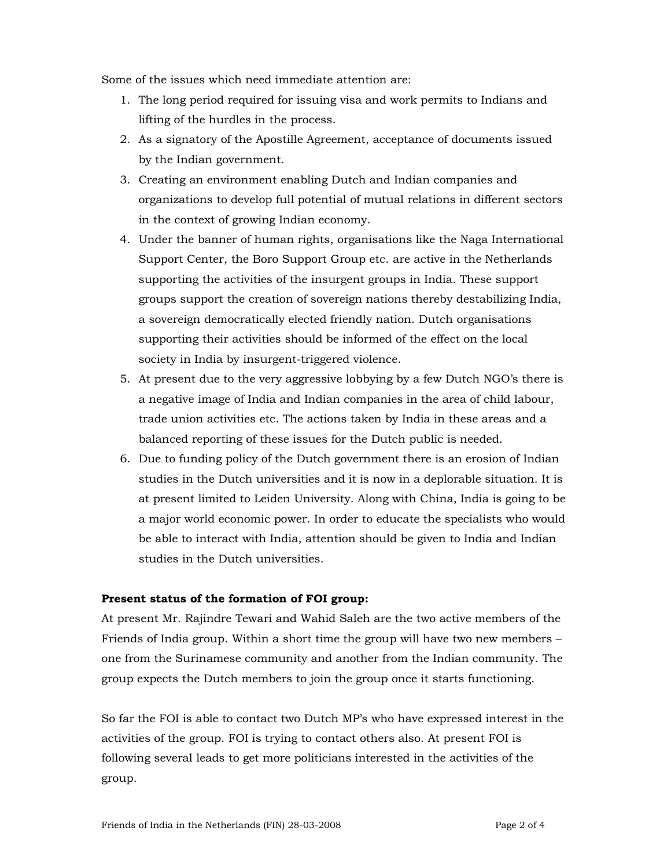Some of the issues which need immediate attention are:

- 1. The long period required for issuing visa and work permits to Indians and lifting of the hurdles in the process.
- 2. As a signatory of the Apostille Agreement, acceptance of documents issued by the Indian government.
- 3. Creating an environment enabling Dutch and Indian companies and organizations to develop full potential of mutual relations in different sectors in the context of growing Indian economy.
- 4. Under the banner of human rights, organisations like the Naga International Support Center, the Boro Support Group etc. are active in the Netherlands supporting the activities of the insurgent groups in India. These support groups support the creation of sovereign nations thereby destabilizing India, a sovereign democratically elected friendly nation. Dutch organisations supporting their activities should be informed of the effect on the local society in India by insurgent-triggered violence.
- 5. At present due to the very aggressive lobbying by a few Dutch NGO's there is a negative image of India and Indian companies in the area of child labour, trade union activities etc. The actions taken by India in these areas and a balanced reporting of these issues for the Dutch public is needed.
- 6. Due to funding policy of the Dutch government there is an erosion of Indian studies in the Dutch universities and it is now in a deplorable situation. It is at present limited to Leiden University. Along with China, India is going to be a major world economic power. In order to educate the specialists who would be able to interact with India, attention should be given to India and Indian studies in the Dutch universities.

## Present status of the formation of FOI group:

At present Mr. Rajindre Tewari and Wahid Saleh are the two active members of the Friends of India group. Within a short time the group will have two new members – one from the Surinamese community and another from the Indian community. The group expects the Dutch members to join the group once it starts functioning.

So far the FOI is able to contact two Dutch MP's who have expressed interest in the activities of the group. FOI is trying to contact others also. At present FOI is following several leads to get more politicians interested in the activities of the group.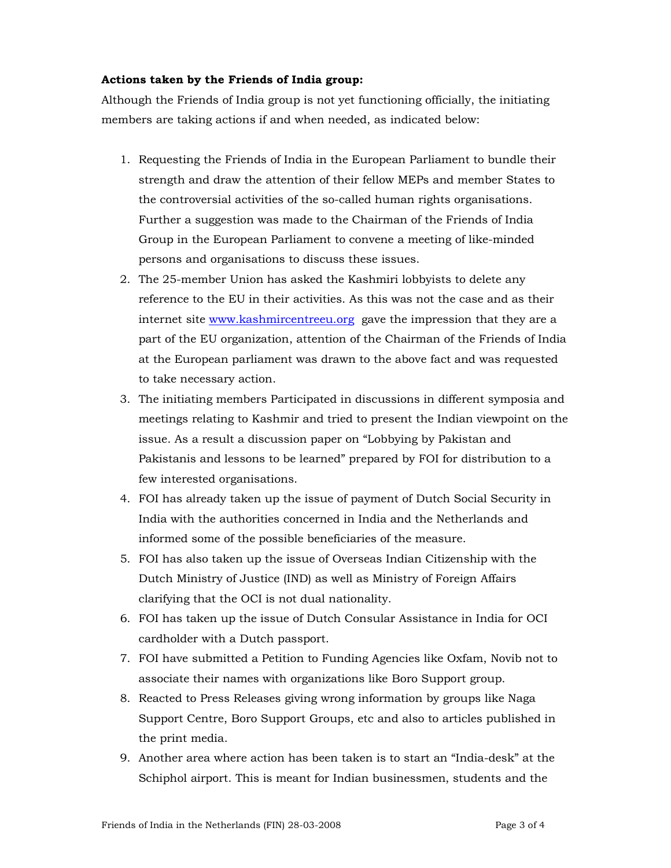## Actions taken by the Friends of India group:

Although the Friends of India group is not yet functioning officially, the initiating members are taking actions if and when needed, as indicated below:

- 1. Requesting the Friends of India in the European Parliament to bundle their strength and draw the attention of their fellow MEPs and member States to the controversial activities of the so-called human rights organisations. Further a suggestion was made to the Chairman of the Friends of India Group in the European Parliament to convene a meeting of like-minded persons and organisations to discuss these issues.
- 2. The 25-member Union has asked the Kashmiri lobbyists to delete any reference to the EU in their activities. As this was not the case and as their internet site www.kashmircentreeu.org gave the impression that they are a part of the EU organization, attention of the Chairman of the Friends of India at the European parliament was drawn to the above fact and was requested to take necessary action.
- 3. The initiating members Participated in discussions in different symposia and meetings relating to Kashmir and tried to present the Indian viewpoint on the issue. As a result a discussion paper on "Lobbying by Pakistan and Pakistanis and lessons to be learned" prepared by FOI for distribution to a few interested organisations.
- 4. FOI has already taken up the issue of payment of Dutch Social Security in India with the authorities concerned in India and the Netherlands and informed some of the possible beneficiaries of the measure.
- 5. FOI has also taken up the issue of Overseas Indian Citizenship with the Dutch Ministry of Justice (IND) as well as Ministry of Foreign Affairs clarifying that the OCI is not dual nationality.
- 6. FOI has taken up the issue of Dutch Consular Assistance in India for OCI cardholder with a Dutch passport.
- 7. FOI have submitted a Petition to Funding Agencies like Oxfam, Novib not to associate their names with organizations like Boro Support group.
- 8. Reacted to Press Releases giving wrong information by groups like Naga Support Centre, Boro Support Groups, etc and also to articles published in the print media.
- 9. Another area where action has been taken is to start an "India-desk" at the Schiphol airport. This is meant for Indian businessmen, students and the